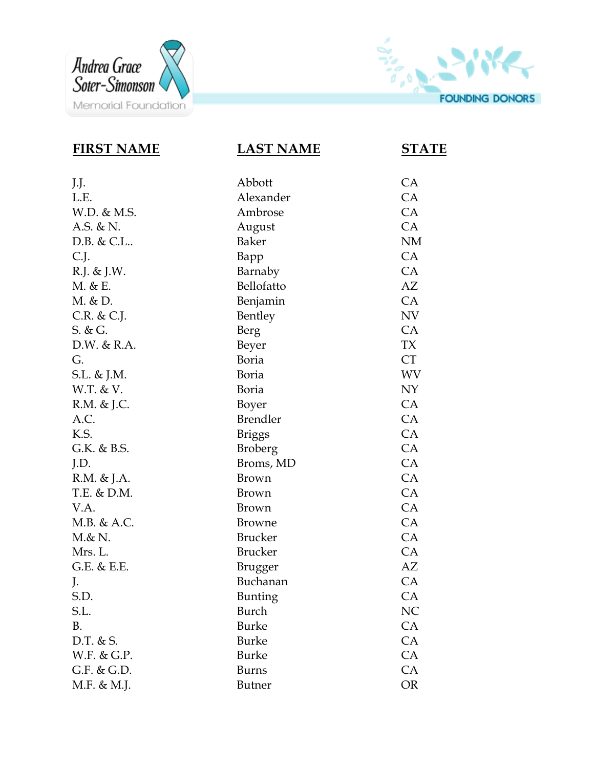



| <b>FIRST NAME</b> | <u>LAST NAME</u> | <b>STATE</b> |
|-------------------|------------------|--------------|
| J.J.              | Abbott           | CA           |
| L.E.              | Alexander        | <b>CA</b>    |
| W.D. & M.S.       | Ambrose          | CA           |
| A.S. & N.         | August           | CA           |
| D.B. & C.L        | <b>Baker</b>     | <b>NM</b>    |
| C.J.              | Bapp             | CA           |
| R.J. & J.W.       | Barnaby          | CA           |
| M. & E.           | Bellofatto       | AZ           |
| M. & D.           | Benjamin         | CA           |
| $C.R.$ & $C.J.$   | Bentley          | <b>NV</b>    |
| $S. \& G.$        | Berg             | CA           |
| D.W. & R.A.       | Beyer            | <b>TX</b>    |
| G.                | <b>Boria</b>     | <b>CT</b>    |
| S.L. & J.M.       | <b>Boria</b>     | <b>WV</b>    |
| W.T. & V.         | <b>Boria</b>     | NY           |
| R.M. & J.C.       | Boyer            | CA           |
| A.C.              | <b>Brendler</b>  | CA           |
| K.S.              | <b>Briggs</b>    | CA           |
| G.K. & B.S.       | <b>Broberg</b>   | CA           |
| J.D.              | Broms, MD        | CA           |
| R.M. & J.A.       | Brown            | CA           |
| T.E. & D.M.       | Brown            | CA           |
| V.A.              | <b>Brown</b>     | CA           |
| M.B. & A.C.       | <b>Browne</b>    | CA           |
| $M & \& N.$       | <b>Brucker</b>   | CA           |
| Mrs. L.           | <b>Brucker</b>   | CA           |
| G.E. & E.E.       | Brugger          | AZ           |
| J.                | Buchanan         | CA           |
| S.D.              | <b>Bunting</b>   | CA           |
| S.L.              | Burch            | NC           |
| B.                | <b>Burke</b>     | CA           |
| D.T. & S.         | <b>Burke</b>     | CA           |
| W.F. & G.P.       | <b>Burke</b>     | CA           |
| $G.F.$ & $G.D.$   | <b>Burns</b>     | CA           |
| M.F. & M.J.       | <b>Butner</b>    | <b>OR</b>    |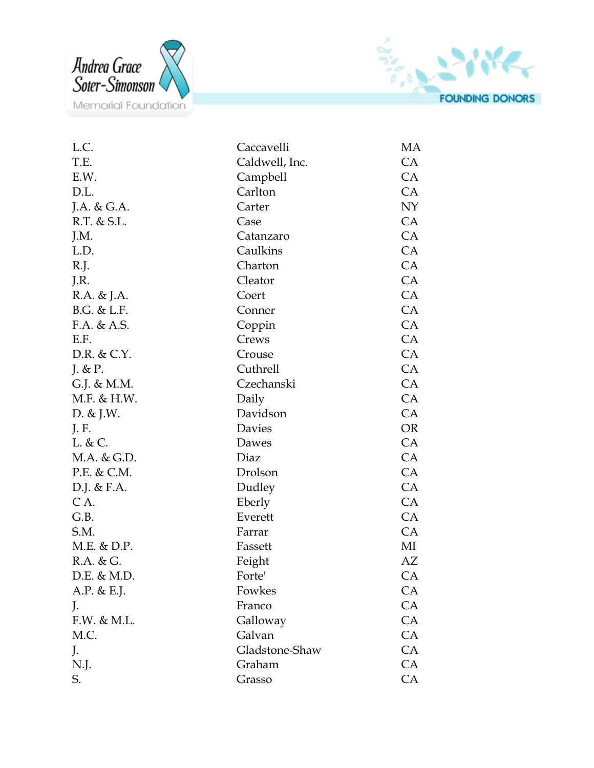



| L.C.            | Caccavelli     | МA        |
|-----------------|----------------|-----------|
| T.E.            | Caldwell, Inc. | CA        |
| E.W.            | Campbell       | CA        |
| D.L.            | Carlton        | CA        |
| J.A. & G.A.     | Carter         | NY        |
| R.T. & S.L.     | Case           | CA        |
| J.M.            | Catanzaro      | CA        |
| L.D.            | Caulkins       | CA        |
| R.J.            | Charton        | CA        |
| J.R.            | Cleator        | CA        |
| R.A. & J.A.     | Coert          | CA        |
| B.G. & L.F.     | Conner         | CA        |
| F.A. & A.S.     | Coppin         | CA        |
| E.F.            | Crews          | CA        |
| D.R. & C.Y.     | Crouse         | CA        |
| J. $& P.$       | Cuthrell       | CA        |
| G.J. & M.M.     | Czechanski     | CA        |
| M.F. & H.W.     | Daily          | CA        |
| D. $&$ J.W.     | Davidson       | CA        |
| J. F.           | Davies         | <b>OR</b> |
| L. & C.         | Dawes          | CA        |
| M.A. & G.D.     | Diaz           | CA        |
| P.E. & C.M.     | Drolson        | CA        |
| D.J. & F.A.     | Dudley         | CA        |
| CA.             | Eberly         | CA        |
| G.B.            | Everett        | CA        |
| S.M.            | Farrar         | CA        |
| M.E. & D.P.     | Fassett        | MI        |
| $R.A.$ & $G.$   | Feight         | AZ        |
| $D.E.$ & $M.D.$ | Forte'         | <b>CA</b> |
| A.P. & E.J.     | Fowkes         | <b>CA</b> |
| J.              | Franco         | CA        |
| F.W. & M.L.     | Galloway       | CA        |
| M.C.            | Galvan         | CA        |
| J.              | Gladstone-Shaw | CA        |
| N.J.            | Graham         | CA        |
| S.              | Grasso         | CA        |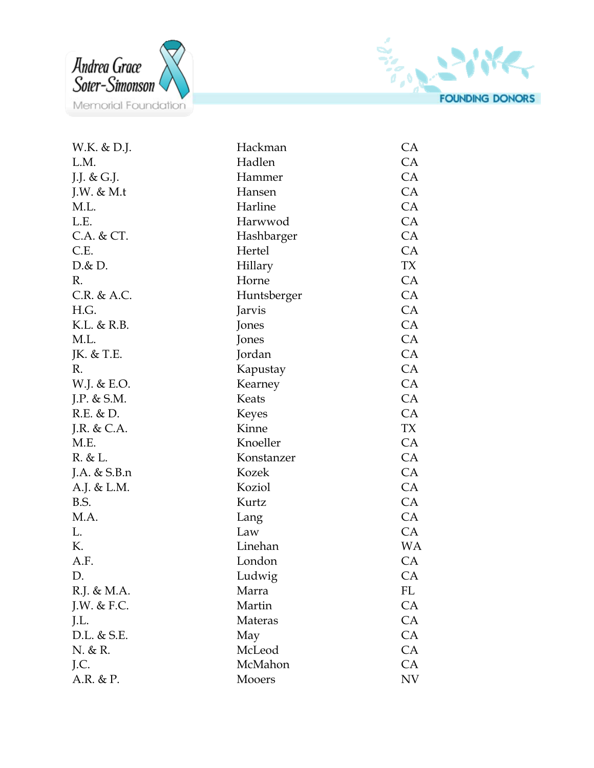



| W.K. & D.J.   | Hackman      | CA        |
|---------------|--------------|-----------|
| L.M.          | Hadlen       | CA        |
| J.J. & G.J.   | Hammer       | CA        |
| J.W. $& M.t$  | Hansen       | CA        |
| M.L.          | Harline      | CA        |
| L.E.          | Harwwod      | CA        |
| C.A. & CT.    | Hashbarger   | CA        |
| C.E.          | Hertel       | CA        |
| D & D.        | Hillary      | TX        |
| R.            | Horne        | CA        |
| C.R. & A.C.   | Huntsberger  | CA        |
| H.G.          | Jarvis       | <b>CA</b> |
| K.L. & R.B.   | Jones        | CA        |
| M.L.          | Jones        | CA        |
| JK. & T.E.    | Jordan       | CA        |
| R.            | Kapustay     | CA        |
| W.J. & E.O.   | Kearney      | CA        |
| J.P. $&$ S.M. | Keats        | CA        |
| $R.E.$ & $D.$ | <b>Keyes</b> | CA        |
| J.R. & C.A.   | Kinne        | TX        |
| M.E.          | Knoeller     | CA        |
| R. & L.       | Konstanzer   | CA        |
| J.A. & S.B.n  | Kozek        | CA        |
| A.J. & L.M.   | Koziol       | CA        |
| B.S.          | Kurtz        | CA        |
| M.A.          | Lang         | CA        |
| L.            | Law          | CA        |
| К.            | Linehan      | <b>WA</b> |
| A.F.          | London       | CA        |
| D.            | Ludwig       | CA        |
| R.J. & M.A.   | Marra        | FL        |
| I.W. & F.C.   | Martin       | <b>CA</b> |
| J.L.          | Materas      | CA        |
| D.L. & S.E.   | May          | CA        |
| N. & R.       | McLeod       | CA        |
| J.C.          | McMahon      | CA        |
| A.R. & P.     | Mooers       | NV        |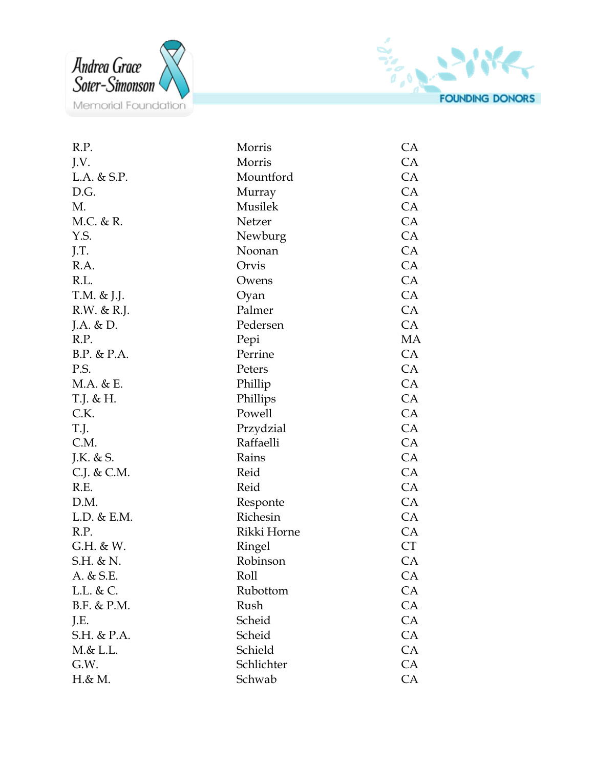



| R.P.            | Morris      | <b>CA</b> |
|-----------------|-------------|-----------|
| J.V.            | Morris      | CA        |
| $L.A.$ & $S.P.$ | Mountford   | CA        |
| D.G.            | Murray      | CA        |
| M.              | Musilek     | CA        |
| M.C. & R.       | Netzer      | CA        |
| Y.S.            | Newburg     | CA        |
| J.T.            | Noonan      | CA        |
| R.A.            | Orvis       | CA        |
| R.L.            | Owens       | CA        |
| T.M. & J.J.     | Oyan        | CA        |
| R.W. & R.J.     | Palmer      | CA        |
| J.A. $& D.$     | Pedersen    | CA        |
| R.P.            | Pepi        | MA        |
| B.P. & P.A.     | Perrine     | CA        |
| P.S.            | Peters      | CA        |
| M.A. & E.       | Phillip     | CA        |
| T.J. & H.       | Phillips    | CA        |
| C.K.            | Powell      | CA        |
| T.J.            | Przydzial   | CA        |
| C.M.            | Raffaelli   | CA        |
| J.K. & S.       | Rains       | CA        |
| C.J. & C.M.     | Reid        | CA        |
| R.E.            | Reid        | CA        |
| D.M.            | Responte    | CA        |
| L.D. & E.M.     | Richesin    | CA        |
| R.P.            | Rikki Horne | CA        |
| G.H. & W.       | Ringel      | <b>CT</b> |
| S.H. & N.       | Robinson    | CA        |
| A. & S.E.       | Roll        | CA        |
| $L.L.$ & $C.$   | Rubottom    | <b>CA</b> |
| B.F. & P.M.     | Rush        | CA        |
| J.E.            | Scheid      | CA        |
| S.H. & P.A.     | Scheid      | CA        |
| M & L.L.        | Schield     | CA        |
| G.W.            | Schlichter  | CA        |
| H.& M.          | Schwab      | CA        |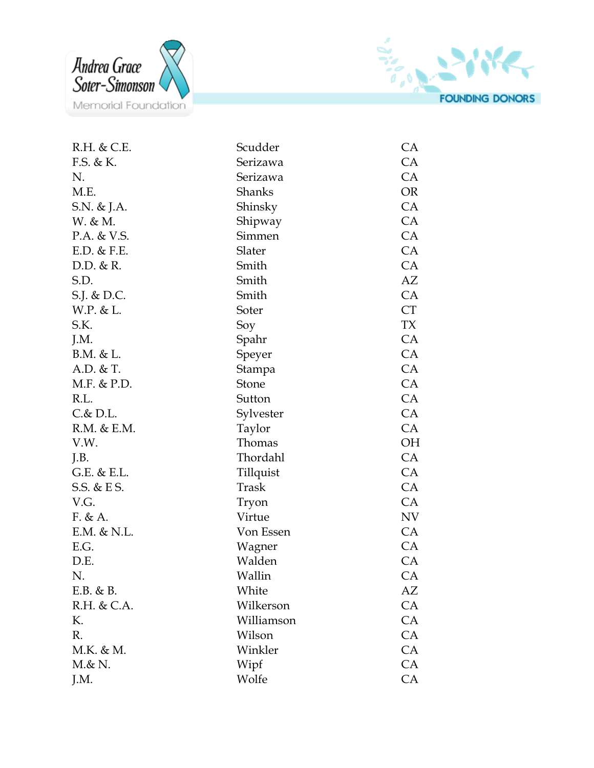



| R.H. & C.E.     | Scudder       | CA        |
|-----------------|---------------|-----------|
| F.S. & K.       | Serizawa      | CA        |
| N.              | Serizawa      | CA        |
| M.E.            | <b>Shanks</b> | <b>OR</b> |
| S.N. & J.A.     | Shinsky       | CA        |
| W. & M.         | Shipway       | CA        |
| P.A. & V.S.     | Simmen        | CA        |
| $E.D.$ & $F.E.$ | Slater        | CA        |
| $D.D.$ & R.     | Smith         | <b>CA</b> |
| S.D.            | Smith         | AZ        |
| S.J. & D.C.     | Smith         | CA        |
| W.P. & L.       | Soter         | CT        |
| S.K.            | Soy           | TX        |
| J.M.            | Spahr         | CA        |
| B.M. & L.       | Speyer        | CA        |
| $A.D.$ & T.     | Stampa        | CA        |
| M.F. & P.D.     | Stone         | CA        |
| R.L.            | Sutton        | CA        |
| $C.\& D.L.$     | Sylvester     | CA        |
| R.M. & E.M.     | Taylor        | CA        |
| V.W.            | Thomas        | OH        |
| J.B.            | Thordahl      | CA        |
| G.E. & E.L.     | Tillquist     | CA        |
| S.S. & E S.     | Trask         | CA        |
| V.G.            | Tryon         | CA        |
| F. & A.         | Virtue        | NV        |
| $E.M.$ & N.L.   | Von Essen     | CA        |
| E.G.            | Wagner        | CA        |
| D.E.            | Walden        | CA        |
| N.              | Wallin        | CA        |
| $E.B. \& B.$    | White         | AZ        |
| R.H. & C.A.     | Wilkerson     | CA        |
| К.              | Williamson    | CA        |
| R.              | Wilson        | CA        |
| M.K. & M.       | Winkler       | CA        |
| $M & \& N.$     | Wipf          | CA        |
| J.M.            | Wolfe         | CA        |